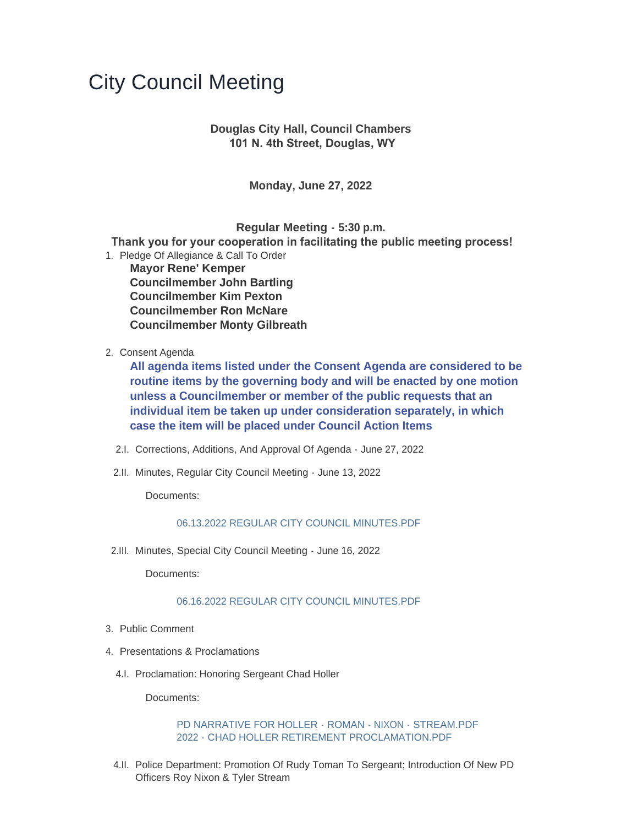# City Council Meeting

# **Douglas City Hall, Council Chambers 101 N. 4th Street, Douglas, WY**

**Monday, June 27, 2022**

**Regular Meeting - 5:30 p.m.**

 **Thank you for your cooperation in facilitating the public meeting process!**

- 1. Pledge Of Allegiance & Call To Order **Mayor Rene' Kemper Councilmember John Bartling Councilmember Kim Pexton Councilmember Ron McNare Councilmember Monty Gilbreath**
- 2. Consent Agenda

**All agenda items listed under the Consent Agenda are considered to be routine items by the governing body and will be enacted by one motion unless a Councilmember or member of the public requests that an individual item be taken up under consideration separately, in which case the item will be placed under Council Action Items**

- 2.I. Corrections, Additions, And Approval Of Agenda June 27, 2022
- 2.II. Minutes, Regular City Council Meeting June 13, 2022

Documents:

#### [06.13.2022 REGULAR CITY COUNCIL MINUTES.PDF](https://www.cityofdouglas.org/AgendaCenter/ViewFile/Item/5128?fileID=4397)

2.III. Minutes, Special City Council Meeting - June 16, 2022

Documents:

#### [06.16.2022 REGULAR CITY COUNCIL MINUTES.PDF](https://www.cityofdouglas.org/AgendaCenter/ViewFile/Item/5129?fileID=4398)

- 3. Public Comment
- 4. Presentations & Proclamations
	- 4.I. Proclamation: Honoring Sergeant Chad Holler

Documents:

#### [PD NARRATIVE FOR HOLLER - ROMAN - NIXON - STREAM.PDF](https://www.cityofdouglas.org/AgendaCenter/ViewFile/Item/5130?fileID=4399) [2022 - CHAD HOLLER RETIREMENT PROCLAMATION.PDF](https://www.cityofdouglas.org/AgendaCenter/ViewFile/Item/5130?fileID=4400)

4.II. Police Department: Promotion Of Rudy Toman To Sergeant; Introduction Of New PD Officers Roy Nixon & Tyler Stream